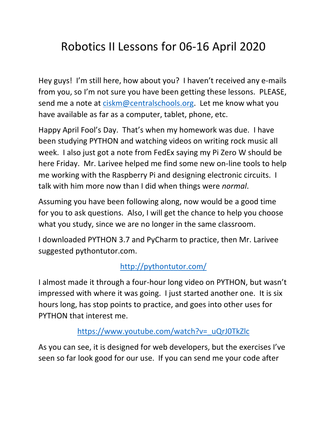## Robotics II Lessons for 06-16 April 2020

Hey guys! I'm still here, how about you? I haven't received any e-mails from you, so I'm not sure you have been getting these lessons. PLEASE, send me a note at [ciskm@centralschools.org.](mailto:ciskm@centralschools.org) Let me know what you have available as far as a computer, tablet, phone, etc.

Happy April Fool's Day. That's when my homework was due. I have been studying PYTHON and watching videos on writing rock music all week. I also just got a note from FedEx saying my Pi Zero W should be here Friday. Mr. Larivee helped me find some new on-line tools to help me working with the Raspberry Pi and designing electronic circuits. I talk with him more now than I did when things were *normal*.

Assuming you have been following along, now would be a good time for you to ask questions. Also, I will get the chance to help you choose what you study, since we are no longer in the same classroom.

I downloaded PYTHON 3.7 and PyCharm to practice, then Mr. Larivee suggested pythontutor.com.

## <http://pythontutor.com/>

I almost made it through a four-hour long video on PYTHON, but wasn't impressed with where it was going. I just started another one. It is six hours long, has stop points to practice, and goes into other uses for PYTHON that interest me.

## [https://www.youtube.com/watch?v=\\_uQrJ0TkZlc](https://www.youtube.com/watch?v=_uQrJ0TkZlc)

As you can see, it is designed for web developers, but the exercises I've seen so far look good for our use. If you can send me your code after